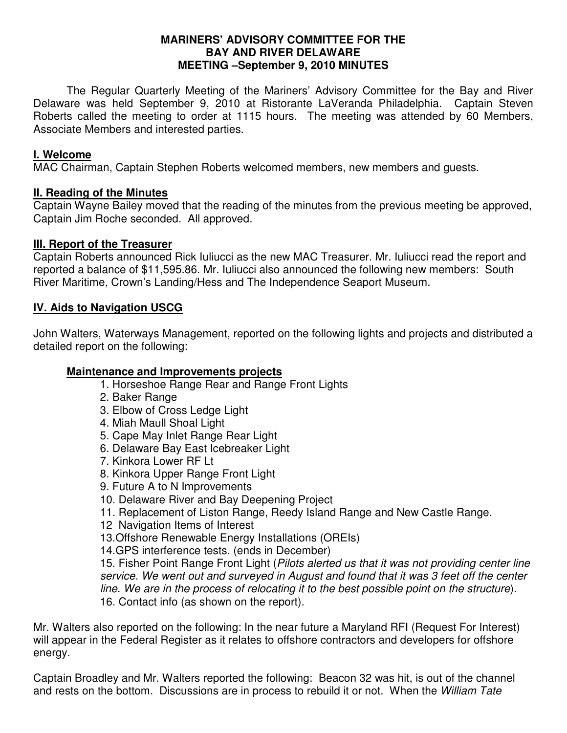#### **MARINERS' ADVISORY COMMITTEE FOR THE BAY AND RIVER DELAWARE MEETING –September 9, 2010 MINUTES**

 The Regular Quarterly Meeting of the Mariners' Advisory Committee for the Bay and River Delaware was held September 9, 2010 at Ristorante LaVeranda Philadelphia. Captain Steven Roberts called the meeting to order at 1115 hours. The meeting was attended by 60 Members, Associate Members and interested parties.

#### **I. Welcome**

MAC Chairman, Captain Stephen Roberts welcomed members, new members and guests.

#### **II. Reading of the Minutes**

Captain Wayne Bailey moved that the reading of the minutes from the previous meeting be approved, Captain Jim Roche seconded. All approved.

#### **III. Report of the Treasurer**

Captain Roberts announced Rick Iuliucci as the new MAC Treasurer. Mr. Iuliucci read the report and reported a balance of \$11,595.86. Mr. Iuliucci also announced the following new members: South River Maritime, Crown's Landing/Hess and The Independence Seaport Museum.

### **IV. Aids to Navigation USCG**

John Walters, Waterways Management, reported on the following lights and projects and distributed a detailed report on the following:

#### **Maintenance and Improvements projects**

- 1. Horseshoe Range Rear and Range Front Lights
- 2. Baker Range
- 3. Elbow of Cross Ledge Light
- 4. Miah Maull Shoal Light
- 5. Cape May Inlet Range Rear Light
- 6. Delaware Bay East Icebreaker Light
- 7. Kinkora Lower RF Lt
- 8. Kinkora Upper Range Front Light
- 9. Future A to N Improvements
- 10. Delaware River and Bay Deepening Project
- 11. Replacement of Liston Range, Reedy Island Range and New Castle Range.
- 12 Navigation Items of Interest
- 13.Offshore Renewable Energy Installations (OREIs)
- 14.GPS interference tests. (ends in December)

15. Fisher Point Range Front Light (Pilots alerted us that it was not providing center line service. We went out and surveyed in August and found that it was 3 feet off the center line. We are in the process of relocating it to the best possible point on the structure). 16. Contact info (as shown on the report).

Mr. Walters also reported on the following: In the near future a Maryland RFI (Request For Interest) will appear in the Federal Register as it relates to offshore contractors and developers for offshore energy.

Captain Broadley and Mr. Walters reported the following: Beacon 32 was hit, is out of the channel and rests on the bottom. Discussions are in process to rebuild it or not. When the William Tate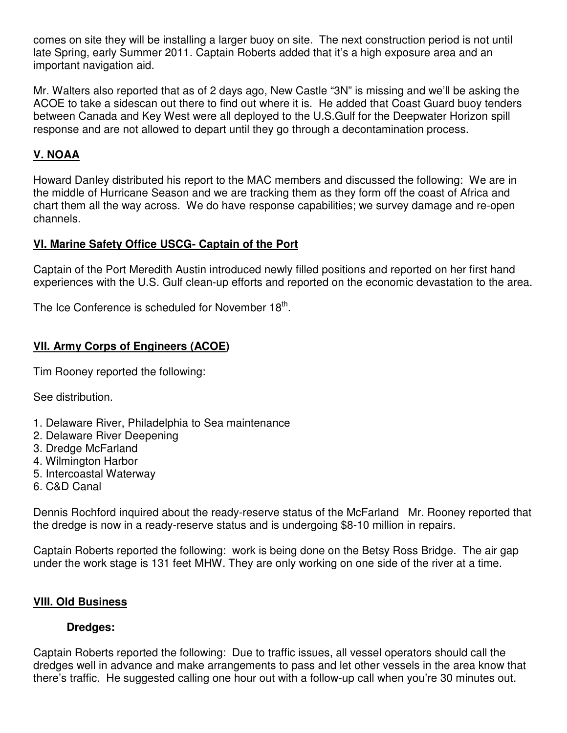comes on site they will be installing a larger buoy on site. The next construction period is not until late Spring, early Summer 2011. Captain Roberts added that it's a high exposure area and an important navigation aid.

Mr. Walters also reported that as of 2 days ago, New Castle "3N" is missing and we'll be asking the ACOE to take a sidescan out there to find out where it is. He added that Coast Guard buoy tenders between Canada and Key West were all deployed to the U.S.Gulf for the Deepwater Horizon spill response and are not allowed to depart until they go through a decontamination process.

# **V. NOAA**

Howard Danley distributed his report to the MAC members and discussed the following: We are in the middle of Hurricane Season and we are tracking them as they form off the coast of Africa and chart them all the way across. We do have response capabilities; we survey damage and re-open channels.

### **VI. Marine Safety Office USCG- Captain of the Port**

Captain of the Port Meredith Austin introduced newly filled positions and reported on her first hand experiences with the U.S. Gulf clean-up efforts and reported on the economic devastation to the area.

The Ice Conference is scheduled for November  $18<sup>th</sup>$ .

# **VII. Army Corps of Engineers (ACOE)**

Tim Rooney reported the following:

See distribution.

- 1. Delaware River, Philadelphia to Sea maintenance
- 2. Delaware River Deepening
- 3. Dredge McFarland
- 4. Wilmington Harbor
- 5. Intercoastal Waterway
- 6. C&D Canal

Dennis Rochford inquired about the ready-reserve status of the McFarland Mr. Rooney reported that the dredge is now in a ready-reserve status and is undergoing \$8-10 million in repairs.

Captain Roberts reported the following: work is being done on the Betsy Ross Bridge. The air gap under the work stage is 131 feet MHW. They are only working on one side of the river at a time.

### **VIII. Old Business**

### **Dredges:**

Captain Roberts reported the following: Due to traffic issues, all vessel operators should call the dredges well in advance and make arrangements to pass and let other vessels in the area know that there's traffic. He suggested calling one hour out with a follow-up call when you're 30 minutes out.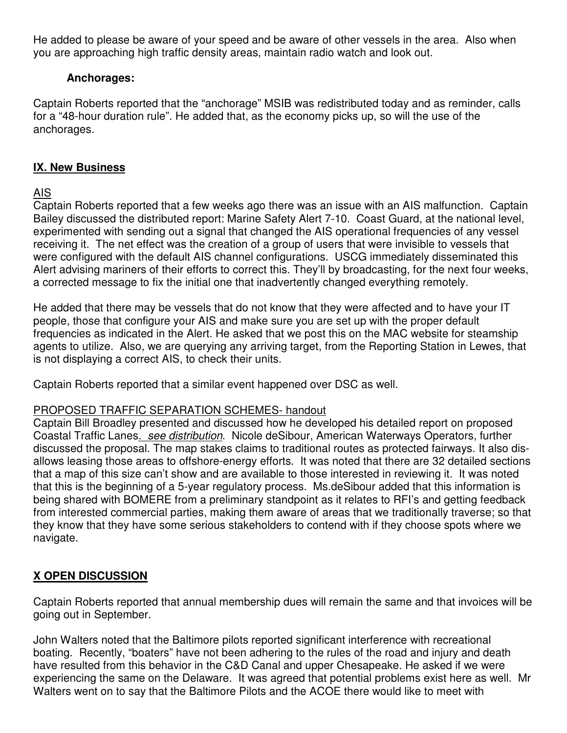He added to please be aware of your speed and be aware of other vessels in the area. Also when you are approaching high traffic density areas, maintain radio watch and look out.

### **Anchorages:**

Captain Roberts reported that the "anchorage" MSIB was redistributed today and as reminder, calls for a "48-hour duration rule". He added that, as the economy picks up, so will the use of the anchorages.

## **IX. New Business**

## AIS

Captain Roberts reported that a few weeks ago there was an issue with an AIS malfunction. Captain Bailey discussed the distributed report: Marine Safety Alert 7-10. Coast Guard, at the national level, experimented with sending out a signal that changed the AIS operational frequencies of any vessel receiving it. The net effect was the creation of a group of users that were invisible to vessels that were configured with the default AIS channel configurations. USCG immediately disseminated this Alert advising mariners of their efforts to correct this. They'll by broadcasting, for the next four weeks, a corrected message to fix the initial one that inadvertently changed everything remotely.

He added that there may be vessels that do not know that they were affected and to have your IT people, those that configure your AIS and make sure you are set up with the proper default frequencies as indicated in the Alert. He asked that we post this on the MAC website for steamship agents to utilize. Also, we are querying any arriving target, from the Reporting Station in Lewes, that is not displaying a correct AIS, to check their units.

Captain Roberts reported that a similar event happened over DSC as well.

### PROPOSED TRAFFIC SEPARATION SCHEMES- handout

Captain Bill Broadley presented and discussed how he developed his detailed report on proposed Coastal Traffic Lanes. see distribution. Nicole deSibour, American Waterways Operators, further discussed the proposal. The map stakes claims to traditional routes as protected fairways. It also disallows leasing those areas to offshore-energy efforts. It was noted that there are 32 detailed sections that a map of this size can't show and are available to those interested in reviewing it. It was noted that this is the beginning of a 5-year regulatory process. Ms.deSibour added that this information is being shared with BOMERE from a preliminary standpoint as it relates to RFI's and getting feedback from interested commercial parties, making them aware of areas that we traditionally traverse; so that they know that they have some serious stakeholders to contend with if they choose spots where we navigate.

# **X OPEN DISCUSSION**

Captain Roberts reported that annual membership dues will remain the same and that invoices will be going out in September.

John Walters noted that the Baltimore pilots reported significant interference with recreational boating. Recently, "boaters" have not been adhering to the rules of the road and injury and death have resulted from this behavior in the C&D Canal and upper Chesapeake. He asked if we were experiencing the same on the Delaware. It was agreed that potential problems exist here as well. Mr Walters went on to say that the Baltimore Pilots and the ACOE there would like to meet with